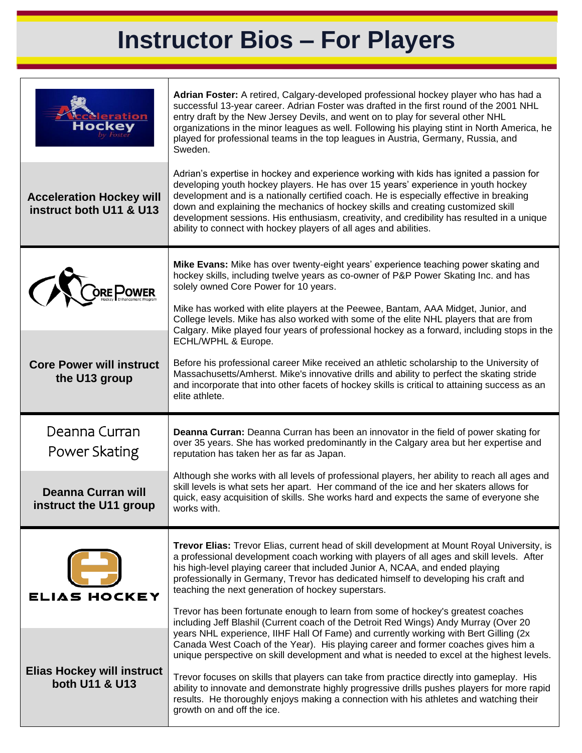## **Instructor Bios – For Players**

| <b>Meration</b><br>Hockev                                  | Adrian Foster: A retired, Calgary-developed professional hockey player who has had a<br>successful 13-year career. Adrian Foster was drafted in the first round of the 2001 NHL<br>entry draft by the New Jersey Devils, and went on to play for several other NHL<br>organizations in the minor leagues as well. Following his playing stint in North America, he<br>played for professional teams in the top leagues in Austria, Germany, Russia, and<br>Sweden.                                                                                                                                        |
|------------------------------------------------------------|-----------------------------------------------------------------------------------------------------------------------------------------------------------------------------------------------------------------------------------------------------------------------------------------------------------------------------------------------------------------------------------------------------------------------------------------------------------------------------------------------------------------------------------------------------------------------------------------------------------|
| <b>Acceleration Hockey will</b><br>instruct both U11 & U13 | Adrian's expertise in hockey and experience working with kids has ignited a passion for<br>developing youth hockey players. He has over 15 years' experience in youth hockey<br>development and is a nationally certified coach. He is especially effective in breaking<br>down and explaining the mechanics of hockey skills and creating customized skill<br>development sessions. His enthusiasm, creativity, and credibility has resulted in a unique<br>ability to connect with hockey players of all ages and abilities.                                                                            |
|                                                            | Mike Evans: Mike has over twenty-eight years' experience teaching power skating and<br>hockey skills, including twelve years as co-owner of P&P Power Skating Inc. and has<br>solely owned Core Power for 10 years.<br>Mike has worked with elite players at the Peewee, Bantam, AAA Midget, Junior, and<br>College levels. Mike has also worked with some of the elite NHL players that are from                                                                                                                                                                                                         |
| <b>Core Power will instruct</b><br>the U13 group           | Calgary. Mike played four years of professional hockey as a forward, including stops in the<br>ECHL/WPHL & Europe.<br>Before his professional career Mike received an athletic scholarship to the University of<br>Massachusetts/Amherst. Mike's innovative drills and ability to perfect the skating stride<br>and incorporate that into other facets of hockey skills is critical to attaining success as an<br>elite athlete.                                                                                                                                                                          |
|                                                            |                                                                                                                                                                                                                                                                                                                                                                                                                                                                                                                                                                                                           |
| Deanna Curran<br>Power Skating                             | Deanna Curran: Deanna Curran has been an innovator in the field of power skating for<br>over 35 years. She has worked predominantly in the Calgary area but her expertise and<br>reputation has taken her as far as Japan.                                                                                                                                                                                                                                                                                                                                                                                |
| <b>Deanna Curran will</b><br>instruct the U11 group        | Although she works with all levels of professional players, her ability to reach all ages and<br>skill levels is what sets her apart. Her command of the ice and her skaters allows for<br>quick, easy acquisition of skills. She works hard and expects the same of everyone she<br>works with.                                                                                                                                                                                                                                                                                                          |
| ELIAS HOCKEY                                               | <b>Trevor Elias:</b> Trevor Elias, current head of skill development at Mount Royal University, is<br>a professional development coach working with players of all ages and skill levels. After<br>his high-level playing career that included Junior A, NCAA, and ended playing<br>professionally in Germany, Trevor has dedicated himself to developing his craft and<br>teaching the next generation of hockey superstars.<br>Trevor has been fortunate enough to learn from some of hockey's greatest coaches<br>including Jeff Blashil (Current coach of the Detroit Red Wings) Andy Murray (Over 20 |